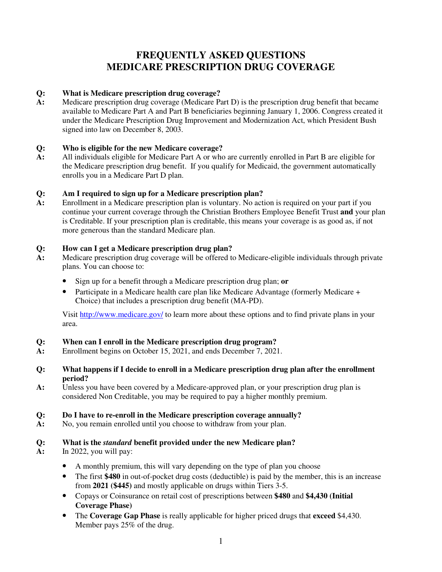### **FREQUENTLY ASKED QUESTIONS MEDICARE PRESCRIPTION DRUG COVERAGE**

#### **Q: What is Medicare prescription drug coverage?**

**A:** Medicare prescription drug coverage (Medicare Part D) is the prescription drug benefit that became available to Medicare Part A and Part B beneficiaries beginning January 1, 2006. Congress created it under the Medicare Prescription Drug Improvement and Modernization Act, which President Bush signed into law on December 8, 2003.

#### **Q: Who is eligible for the new Medicare coverage?**

**A:** All individuals eligible for Medicare Part A or who are currently enrolled in Part B are eligible for the Medicare prescription drug benefit. If you qualify for Medicaid, the government automatically enrolls you in a Medicare Part D plan.

#### **Q: Am I required to sign up for a Medicare prescription plan?**

**A:** Enrollment in a Medicare prescription plan is voluntary. No action is required on your part if you continue your current coverage through the Christian Brothers Employee Benefit Trust **and** your plan is Creditable. If your prescription plan is creditable, this means your coverage is as good as, if not more generous than the standard Medicare plan.

#### **Q: How can I get a Medicare prescription drug plan?**

- **A:** Medicare prescription drug coverage will be offered to Medicare-eligible individuals through private plans. You can choose to:
	- Sign up for a benefit through a Medicare prescription drug plan; **or**
	- Participate in a Medicare health care plan like Medicare Advantage (formerly Medicare + Choice) that includes a prescription drug benefit (MA-PD).

Visit http://www.medicare.gov/ to learn more about these options and to find private plans in your area.

#### **Q: When can I enroll in the Medicare prescription drug program?**

- **A:** Enrollment begins on October 15, 2021, and ends December 7, 2021.
- **Q: What happens if I decide to enroll in a Medicare prescription drug plan after the enrollment period?**
- **A:** Unless you have been covered by a Medicare-approved plan, or your prescription drug plan is considered Non Creditable, you may be required to pay a higher monthly premium.

#### **Q: Do I have to re-enroll in the Medicare prescription coverage annually?**

**A:** No, you remain enrolled until you choose to withdraw from your plan.

#### **Q: What is the** *standard* **benefit provided under the new Medicare plan?**

- **A:** In 2022, you will pay:
	- A monthly premium, this will vary depending on the type of plan you choose
	- The first **\$480** in out-of-pocket drug costs (deductible) is paid by the member, this is an increase from **2021 (\$445)** and mostly applicable on drugs within Tiers 3-5.
	- Copays or Coinsurance on retail cost of prescriptions between **\$480** and **\$4,430 (Initial Coverage Phase)**
	- The **Coverage Gap Phase** is really applicable for higher priced drugs that **exceed** \$4,430. Member pays 25% of the drug.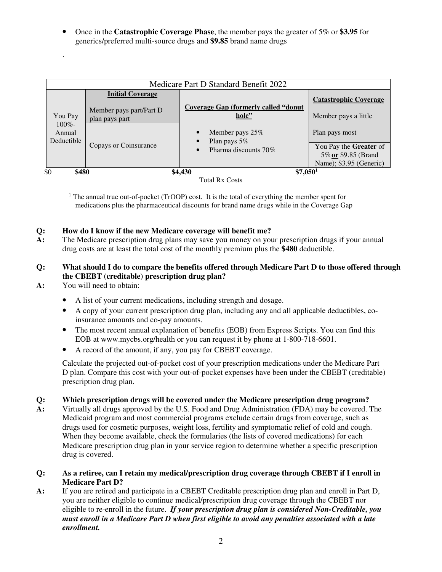• Once in the **Catastrophic Coverage Phase**, the member pays the greater of 5% or **\$3.95** for generics/preferred multi-source drugs and **\$9.85** brand name drugs

|                                              |                                                                      | Medicare Part D Standard Benefit 2022                                                         |                                                                          |
|----------------------------------------------|----------------------------------------------------------------------|-----------------------------------------------------------------------------------------------|--------------------------------------------------------------------------|
| You Pay<br>$100\%$ -<br>Annual<br>Deductible | <b>Initial Coverage</b><br>Member pays part/Part D<br>plan pays part | <b>Coverage Gap (formerly called "donut"</b><br>hole"<br>Member pays $25%$<br>Plan pays $5\%$ | <b>Catastrophic Coverage</b><br>Member pays a little<br>Plan pays most   |
|                                              | Copays or Coinsurance                                                | Pharma discounts 70%                                                                          | You Pay the Greater of<br>5% or \$9.85 (Brand<br>Name); \$3.95 (Generic) |



<sup>1</sup> The annual true out-of-pocket (TrOOP) cost. It is the total of everything the member spent for medications plus the pharmaceutical discounts for brand name drugs while in the Coverage Gap

# **Q: How do I know if the new Medicare coverage will benefit me?**

The Medicare prescription drug plans may save you money on your prescription drugs if your annual drug costs are at least the total cost of the monthly premium plus the **\$480** deductible.

#### **Q: What should I do to compare the benefits offered through Medicare Part D to those offered through the CBEBT (creditable) prescription drug plan?**

**A:** You will need to obtain:

.

- A list of your current medications, including strength and dosage.
- A copy of your current prescription drug plan, including any and all applicable deductibles, coinsurance amounts and co-pay amounts.
- The most recent annual explanation of benefits (EOB) from Express Scripts. You can find this EOB at www.mycbs.org/health or you can request it by phone at 1-800-718-6601.
- A record of the amount, if any, you pay for CBEBT coverage.

Calculate the projected out-of-pocket cost of your prescription medications under the Medicare Part D plan. Compare this cost with your out-of-pocket expenses have been under the CBEBT (creditable) prescription drug plan.

#### **Q: Which prescription drugs will be covered under the Medicare prescription drug program?**

- **A:** Virtually all drugs approved by the U.S. Food and Drug Administration (FDA) may be covered. The Medicaid program and most commercial programs exclude certain drugs from coverage, such as drugs used for cosmetic purposes, weight loss, fertility and symptomatic relief of cold and cough. When they become available, check the formularies (the lists of covered medications) for each Medicare prescription drug plan in your service region to determine whether a specific prescription drug is covered.
- **Q: As a retiree, can I retain my medical/prescription drug coverage through CBEBT if I enroll in Medicare Part D?**
- **A:** If you are retired and participate in a CBEBT Creditable prescription drug plan and enroll in Part D, you are neither eligible to continue medical/prescription drug coverage through the CBEBT nor eligible to re-enroll in the future. *If your prescription drug plan is considered Non-Creditable, you must enroll in a Medicare Part D when first eligible to avoid any penalties associated with a late enrollment.*